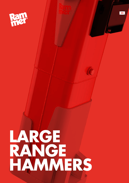

**LARGE RANGE HAMMERS** **EN**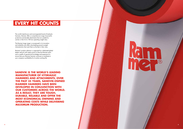**2**

# **EVERY HIT COUNTS**

The world's best-known and most-respected brand of hydraulic hammers, Rammer offers a comprehensive range of powerful, productive and durable attachments that are suitable for carriers in the 0.6 to 100 tons operating weight class.

The Rammer Large range is unsurpassed in its innovation and reliability and offers class-leading power-to-weight characteristics that mark them as the best in their class.

Rammer's product selection is supported by a dedicated global dealer network with ready access to Genuine Rammer parts and a wealth of operational knowledge and experience to ensure that your Rammer hammer continues to contribute to your company's profitability for its entire working life.

**SANDVIK IS THE WORLD'S LEADING MANUFACTURER OF HYDRAULIC HAMMERS AND ATTACHMENTS. OVER THE PAST 35 YEARS, SANDVIK-OWNED RAMMER HAMMERS HAVE BEEN DEVELOPED IN CONJUNCTION WITH OUR CUSTOMERS ACROSS THE WORLD. AS A RESULT, THEY ARE TOUGH, DURABLE, RELIABLE AND OFFER THE MOST ECONOMICAL OWNING AND OPERATING COSTS WHILE DELIVERING MAXIMUM PRODUCTION.**

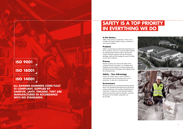# **In the factory**

Safety is the primary consideration. Visitors are to consider and improve safety to help us achieve our aim of zero accidents.

# **Products**

Safety is the driving force behind the development of all our products. Our aim is to set the safety standard by making products that are safe to operate and maintain. Rammer operator and service training packages reinforce that message to ensure the safety of your entire workforce.

## **Process**

Rammer products also improve the safety of the working site and its processes. For example when breaking oversize material, it reduces loading and hauling and prevents blockages and bridging during the crushing process.

# **Safety – Your Advantage**

Injuries can impact upon an entire workforce and resulting in lost working days and a loss of production. A safe site is a productive site.

# **Environment**

Rammer products are manufactured utilizing state-ofthe-art, ISO standards technology that consumes the minimum electricity, and recycles cutting fluids and metal chips. Furthermore, when Rammer breakers reach the end of their useful working life, more than 90 percent of the metallic components can be recycled.





# **SAFETY IS A TOP PRIORITY IN EVERYTHING WE DO**

# **ISO 18001**

# **ISO 14001**

# **ISO 9001**

**ALL RAMMER HAMMERS COME FULLY CE COMPLIANT, SUPPLIED BY SANDVIK, LAHTI, FINLAND. THEY ARE MANUFACTURED IN ACCORDANCE WITH ISO STANDARDS.**

**4**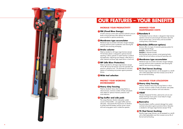# **MINIMIZE YOUR MAINTENANCE COSTS**

The Ramdata II service indicator is designed to help hammer operators and service personnel get information about the service interval status, service history and accumulated working history of the hammer.

# *Q* Ramlube (Different options)

Rammer offers two types of automatic greasing systems for its Large Hammer Range: Ramlube I - Machine-mounted Ramlube II - Hammer-mounted Both Ramlube devices maintain correct greasing levels, protect the tool and reduce owning and operating costs.

# **2** Membrane type accumulator

Membrane type accumulator eliminates nitrogen leakages, ensuring maximum piston acceleration and removing the need for time consuming recharging.

A built-in pressure control valve maintains hydraulic pressure **8 Ramdata II** levels to ensure that every blow delivers the maximum power possible for optimum productivity.

# **2** Membrane type accumulator

Rammer Large range hammers can be equipped as a retrofit with a field replaceable insert that increases service life of the tool and tool bushing.

# **PROTECT YOUR WORKING ENVIRONMENT**

# **6** Heavy duty housing

Fitted as standard, heavy duty housings feature a robust structure, minimum number of holes and plastic wear plates for optimum hammer protection and noise reduction.

# **Top buffer and side pads**

The unique Rammer vibration absorption system consists of three buffers - one upper buffer and two side pads – that prevent the transmission of vibration to protect both the breaker and the carrier's boom, stick and swing gears and to isolate the operator.

# **INCREASE YOUR PRODUCTIVITY**

# **G** FBE (Fixed Blow Energy)

Membrane type accumulator eliminates nitrogen leakages, ensuring maximum piston acceleration and removing the need for time consuming recharging.

# **Stroke selector**

# **TS (Tool Saver) bushing 12**

Fitted as standard on all Large range hammers (except 7013) Stroke selector is designed to optimize hammer operating. It allows operator to match hammer to material and application, delivering more frequent, softer blows in softer materials and fewer high impact blows in hard rock.

# *A* IBP (Idle Blow Protection)

Fitted as standard on all Large range hammers (except 7013), IBP ensures the hammer cannot be operated until pressure is placed on tool. This eliminates tie rod stress, reduces oil overheating and protects against premature failures.



# **MAXIMIZE YOUR UTILIZATION**

Fitted as standard, heavy duty housings feature a robust structure, minimum number of holes and plastic wear plates for optimum hammer protection and noise reduction.

Vibration Dampened Tie Rods, spherical tie rod nuts and damper bushings ensure piston moves freely for longer, more productive working life.

# **Heavy duty housing 6**

Ramvalve detects overflow, prevents damage from system overload and protects against premature failure. Ramvalve is standard on all Large range hammers (except 7013).

# **VIDAT 10**

# **Ramvalve 11**

Rammer Large range hammers can be equipped as a retrofit with a field replaceable insert that increases service life of the tool and tool bushing.

# **TS (Tool Saver) bushing 12**



# **EXAMPLE SERVICES AND ANNEX COUR SERVICES CONSULTIVE AND ANNEX CONSULTIVE AT A CONSULTIVE AT A CONSULTIVE AT A CONSULTIVE AT A CONSULTIVE AT A CONSULTIVE AT A CONSULTIVE AT A CONSULTIVE AT A CONSULTIVE AT A CONSULTIVE AT A**

**289**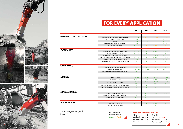# Chisel Hard Ro

Limeston Moil poi







|                                                        |                                                   | 3288                     | 4099                                                      | 5011                     | 7013                     |  |
|--------------------------------------------------------|---------------------------------------------------|--------------------------|-----------------------------------------------------------|--------------------------|--------------------------|--|
| <b>GENERAL CONSTRUCTION</b>                            |                                                   |                          |                                                           |                          |                          |  |
|                                                        | Breaking of road surface (concrete, asphalt)      | C, P, LSC                | C, P, LSC                                                 | C, P, LSC                | C, P, LSC                |  |
|                                                        | Primary breaking to lay a road                    | C, LSC                   | C, LSC                                                    | C, LSC                   | C, LSC                   |  |
|                                                        | Trenching                                         | C, LSC                   | C, LSC                                                    | C, LSC                   | C, LSC                   |  |
|                                                        | Rock excavation for base of housing               | C, LSC                   | C, LSC                                                    | C, LSC                   | C, LSC                   |  |
|                                                        | Breaking of frozen ground                         | C, M, P                  | C, M, P                                                   | C, M, P                  | C, M, P                  |  |
| <b>DEMOLITION</b>                                      |                                                   |                          |                                                           |                          |                          |  |
|                                                        | Demolition of concrete walls, roofs, floors       | C, M, P                  | C, M, P                                                   | C, M, P                  | C, M, P                  |  |
|                                                        | Breaking thick brick walls                        | C, M, P                  | C, M, P                                                   |                          |                          |  |
|                                                        | Breaking heavily reinforced bridge pillars        | B, C, P                  | B, C, P                                                   | B, C, P                  | <b>B, C, P</b>           |  |
|                                                        | Breaking massive reinforced concrete foundations  | C, M, P                  | C, M, P                                                   | C, M, P                  | C, M, P                  |  |
|                                                        | Rock trenches for mains or water supply           | C, LSC                   | C, LSC                                                    | C, LSC                   | C, LSC                   |  |
|                                                        | Separating rebar from concrete (for recycling)    | B                        | B                                                         | Β                        | B                        |  |
| <b>QUARRYING</b>                                       |                                                   |                          |                                                           |                          |                          |  |
|                                                        | Secondary breaking of blasted rock                | B                        | B.                                                        | $\mathsf B$              | $\mathsf B$              |  |
|                                                        | Primary breaking of rock                          | C, LSC, HRC              | C, LSC, HRC                                               | C, LSC, HRC              | C, LSC, HRC              |  |
|                                                        | Breaking oversizes on a crusher or feeder         | B                        | B                                                         |                          |                          |  |
|                                                        |                                                   |                          |                                                           |                          |                          |  |
| <b>MINING</b>                                          | Primary tunneling                                 | C, M, HRC                | C, M, HRC                                                 | C, M, HRC                | C, M, HRC                |  |
|                                                        | Trenching in tunnels                              | C, HRC                   | C, HRC                                                    | C, HRC                   | C, HRC                   |  |
|                                                        | <b>Blasting prohibited mining</b>                 | C, M, LSC,<br><b>HRC</b> | C, M, LSC,<br><b>HRC</b>                                  | C, M, LSC,<br><b>HRC</b> | C, M, LSC,<br><b>HRC</b> |  |
|                                                        | Breaking of oversizes on grizzly or feed chute    | B                        | B                                                         |                          |                          |  |
|                                                        | Breaking of oversizes after blasting in the drift | B                        | B                                                         | $\sf{B}$                 | $\mathsf B$              |  |
| <b>METALLURGICAL</b>                                   |                                                   |                          |                                                           |                          |                          |  |
|                                                        | Breaking of massive steel slag                    |                          | B, C                                                      | B, C                     | B, C                     |  |
|                                                        | Breaking of aluminium electrolyse slag            |                          | B, C                                                      | B, C                     | B, C                     |  |
|                                                        | Breaking of ferrochrome blocks                    | B, C                     | B, C                                                      | B, C                     | B, C                     |  |
| <b>UNDER WATER1)</b>                                   |                                                   |                          |                                                           |                          |                          |  |
|                                                        | Demolition under water                            | C, M, P                  | C, M, P                                                   | C, M, P                  | C, M, P                  |  |
|                                                        | Rock breaking under water                         | C                        | C                                                         | C                        | C                        |  |
| <sup>1)</sup> Working under water needs special        |                                                   |                          |                                                           |                          |                          |  |
| precautions, contact your local dealer<br>for details. | <b>RECOMMENDED</b><br><b>HAMMER MODEL</b>         |                          | <b>SYMBOL OF RECOMMENDED TOOLS</b><br>P <sub>varami</sub> |                          |                          |  |



| <b>L OF RECOMMENDED TOOLS</b>                                |                       |
|--------------------------------------------------------------|-----------------------|
| $\ldots$ . $\ldots$ . $\ldots$ . $\ldots$ $\vdash$ $\subset$ |                       |
| ock Chisel…► HRC                                             |                       |
| e Chisel… <b>r</b> LSC                                       |                       |
| $int$ $\cdots$ $\cdots$ $\vdots$ $M$                         | Compacting plate - CP |
|                                                              |                       |

# **FOR EVERY APPLICATION**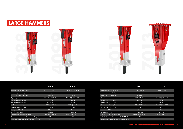|                                                    | 3288                  | 4099                  |
|----------------------------------------------------|-----------------------|-----------------------|
|                                                    |                       |                       |
| Minimum working weight, kg (lb)                    | 2400-2500 (5290-5510) | 3380-3540 (7450-7800) |
| Impact rate, Long Stroke, bpm                      | 370-630               | 400-560               |
| Impact rate, Short Stroke, bpm                     | 460-740               | 520-700               |
| Operating pressure                                 | 150-160 (2175-2320)   | 150-160 (2175 - 2320) |
| Pressure relief, min bar (psi)                     | 220 (3190)            | 210 (3045)            |
| Pressure relief, max bar (psi)                     | 240 (3480)            | 230 (3335)            |
| Oil flow range, l/min (gal/min)                    | 160-250 (42.3-66.0)   | 250-350 (66.0-92.5)   |
| Back pressure, max bar (psi)                       | 10 (145)              | 12 (175)              |
| Input power, kW (hp)                               | 67 (90)               | 93 (125)              |
| Tool diameter, mm (in)                             | 142 (5.59)            | 166 (6.54)            |
| Carrier weight, allowed range, t (lb)              | 26-42 (57300-88200)   | 36-55 (75000-121300)  |
| Noise level, measured sound power level, LWA, dB   | 124                   | 126                   |
| Noise level, guaranteed sound power level, LWA, dB | 128                   | 130                   |

| Minimum working weight, kg (lb)                    | 4750 (10470)         | 7000 (15430)           |
|----------------------------------------------------|----------------------|------------------------|
| Impact rate, Long Stroke, bpm                      | 370-530              | 350-450                |
| Impact rate, Short Stroke, bpm                     | 450-620              |                        |
| Operating pressure                                 | 160-170 (2320-2465)  | 150-170 (2175-2465)    |
| Pressure relief, min bar (psi)                     | 220 (3190)           | 220 (3190)             |
| Pressure relief, max bar (psi)                     | 230 (3335)           | 230 (3335)             |
| Oil flow range, I/min (gal/min)                    | 280-380 (74.0-100.4) | 300-400 (79.3-105.7)   |
| Back pressure, max bar (psi)                       | 10 (145)             | 10 (145)               |
| Input power, kW (hp)                               | 108 (145)            | 113 (152)              |
| Tool diameter, mm (in)                             | 190 (7.48)           | 203 (7.99)             |
| Carrier weight, allowed range, t (lb)              | 43-80 (94800-176400) | 60-100 (132300-220500) |
| Noise level, measured sound power level, LWA, dB   | 122                  | 125                    |
| Noise level, guaranteed sound power level, LWA, dB | 126                  | 129                    |

# **LARGE HAMMERS**



| 5011 |  |
|------|--|
|      |  |
|      |  |

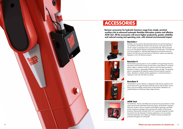# **ACCESSORIES**

# **AGW Unit**

The AGW (Air, Grease and Water) Unit comprises the proven Ramair air flush system that prevents potentially harmful dust ingress, the Ramlube I automatic lubrication system to ensure consistent and throughout greasing, and Water jet dust suppression package which minimizes the creation of dust during breaking. Hydraulically actuated AGW Unit is especially designed to protect the hammer from the demands of extreme applications such as tunneling and heavy demolition and it keeps your Rammer hammer protected and productive throughout its working life.

# **Ramlube II**

The Ramlube II greasing device can be installed to all Large Range hammers. Mounted on the hammer housing, the lubrication system features no external electric cables or hydraulic hoses for optimum wear and impact protection, Ramlube II contains a replaceable 500-gram grease cartridge. The greasing device is operated by the hydraulic pressure from the hammer's pressure fitting. Ramlube II is ideally suited to applications in which the hammer is required to work with more than one carrier.



Rammer accessories for hydraulic hammers range from simple, practical



# auxiliary kits to advanced automatic Ramlube lubrication systems and effective AGW Unit. All the accessories will secure higher productivity, greater reliability and reduced owning and operating costs, with minimal environmental impact.

**Ramlube I**

Ramlube I can be used for lubricating the hammer tool and tool bushings. It can be fitted to all Rammer hammers with the pump unit housed within the carrier's engine compartment and is powered electrically. We recommend you to use only genuine Rammer tool grease for tool lubrication. Tool lubricant must have properties to withstand high temperature and extreme pressure, Rammer tool lubricants and automatic tool lubrication systems are especially designed to work with Rammer products.

# **Ramdata II**

The Ramdata II service indicator is designed to help hammer operators and service personnel to get information about the service interval status, service history and accumulated working history of the hammer. Ramdata II is a standard feature to all Rammer Large range hammers.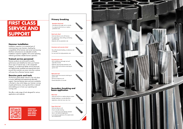# **Hammer installation**

Installation inspection is an essential part of commissioning a new hammer, checking the compatibility of the hammer and carrier and ensuring that flows and pressures are adjusted correctly. Installation inspection together with correct operating methods guarantees reliable hammer operation.

# **Trained service personnel**

Rammer products are renowned for quality, performance and reliability but when your hammer shows signs of natural wear, or the unexpected happens, our professional dealer service personnel are highly-trained, qualified and experienced which ensures that customers are never more than a phone call away from a Rammer hammer expert.

# **Genuine parts and tools**

The Rammer global dealer network is the only place to access dedicated and experienced aftersales support. Genuine Rammer parts and tools availability is the best in class which keeps your hammer running at peak performance, ensuring downtime is reduced and enabling you to lower your operating and running costs.

We offer a wide range of tools designed for various applications and materials.



# **FIRST CLASS SERVICE AND SUPPORT**

**CHECKOUT MORE FROM OUR PARTS AND TOOLS BROCHURE.**

- Non-abrasive but tough rock or concrete - For material which has low or medium penetration rate

### **Standard chisel tool**

# **Primary breaking**

- Hard and abrasive rock with fractures - For applications where drilling and blasting cannot be used - Materials with low penetration rate

### **Hard rock chisel**

- Very soft and easily breaking, non-abrasive rock or concrete - For rock which has high penetration rate



- Soft, non-abrasive and tough rock and
- especially concrete
- Materials requiring high penetration rate - Where chisels have excessive retaining pin
- groove wear

### **Pyramid point tool**

- Where chisels have excessive retaining pin groove wear
- Soft and nonabrasive rock
- General demolition of concrete

### **Moil point tool**

- Hard rock with low or medium abrasive content
- Boulder breaking or concrete demolition
- Application where tool wear rate is low

### **Blunt tool**

# **Secondary breaking and boom application**

- Hard and abrasive rock
- Only for boulder breaking
- 1.5...3 Times more wear life than standard
- blunt in very abrasive applications
- In non-abrasive applications life maybe shorter than standard blunt

### **Super blunt tool**